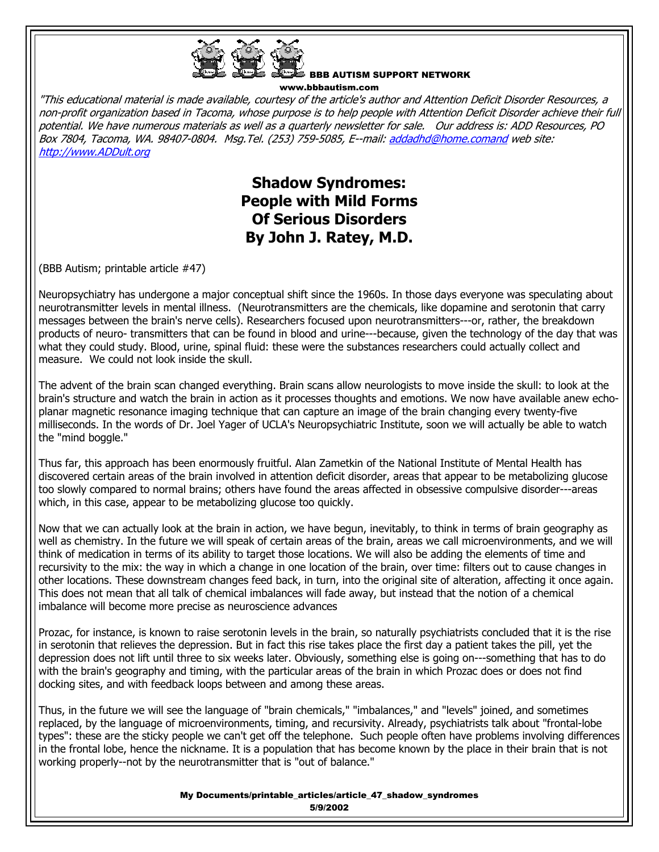

BBB AUTISM SUPPORT NETWORK www.bbbautism.com

"This educational material is made available, courtesy of the article's author and Attention Deficit Disorder Resources, a non-profit organization based in Tacoma, whose purpose is to help people with Attention Deficit Disorder achieve their full potential. We have numerous materials as well as a quarterly newsletter for sale. Our address is: ADD Resources, PO Box 7804, Tacoma, WA. 98407-0804. Msg.Tel. (253) 759-5085, E--mail: addadhd@home.comand web site: http://www.ADDult.org

> **Shadow Syndromes: People with Mild Forms Of Serious Disorders By John J. Ratey, M.D.**

(BBB Autism; printable article #47)

Neuropsychiatry has undergone a major conceptual shift since the 1960s. In those days everyone was speculating about neurotransmitter levels in mental illness. (Neurotransmitters are the chemicals, like dopamine and serotonin that carry messages between the brain's nerve cells). Researchers focused upon neurotransmitters---or, rather, the breakdown products of neuro- transmitters that can be found in blood and urine---because, given the technology of the day that was what they could study. Blood, urine, spinal fluid: these were the substances researchers could actually collect and measure. We could not look inside the skull.

The advent of the brain scan changed everything. Brain scans allow neurologists to move inside the skull: to look at the brain's structure and watch the brain in action as it processes thoughts and emotions. We now have available anew echoplanar magnetic resonance imaging technique that can capture an image of the brain changing every twenty-five milliseconds. In the words of Dr. Joel Yager of UCLA's Neuropsychiatric Institute, soon we will actually be able to watch the "mind boggle."

Thus far, this approach has been enormously fruitful. Alan Zametkin of the National Institute of Mental Health has discovered certain areas of the brain involved in attention deficit disorder, areas that appear to be metabolizing glucose too slowly compared to normal brains; others have found the areas affected in obsessive compulsive disorder---areas which, in this case, appear to be metabolizing glucose too quickly.

Now that we can actually look at the brain in action, we have begun, inevitably, to think in terms of brain geography as well as chemistry. In the future we will speak of certain areas of the brain, areas we call microenvironments, and we will think of medication in terms of its ability to target those locations. We will also be adding the elements of time and recursivity to the mix: the way in which a change in one location of the brain, over time: filters out to cause changes in other locations. These downstream changes feed back, in turn, into the original site of alteration, affecting it once again. This does not mean that all talk of chemical imbalances will fade away, but instead that the notion of a chemical imbalance will become more precise as neuroscience advances

Prozac, for instance, is known to raise serotonin levels in the brain, so naturally psychiatrists concluded that it is the rise in serotonin that relieves the depression. But in fact this rise takes place the first day a patient takes the pill, yet the depression does not lift until three to six weeks later. Obviously, something else is going on---something that has to do with the brain's geography and timing, with the particular areas of the brain in which Prozac does or does not find docking sites, and with feedback loops between and among these areas.

Thus, in the future we will see the language of "brain chemicals," "imbalances," and "levels" joined, and sometimes replaced, by the language of microenvironments, timing, and recursivity. Already, psychiatrists talk about "frontal-lobe types": these are the sticky people we can't get off the telephone. Such people often have problems involving differences in the frontal lobe, hence the nickname. It is a population that has become known by the place in their brain that is not working properly--not by the neurotransmitter that is "out of balance."

> My Documents/printable\_articles/article\_47\_shadow\_syndromes 5/9/2002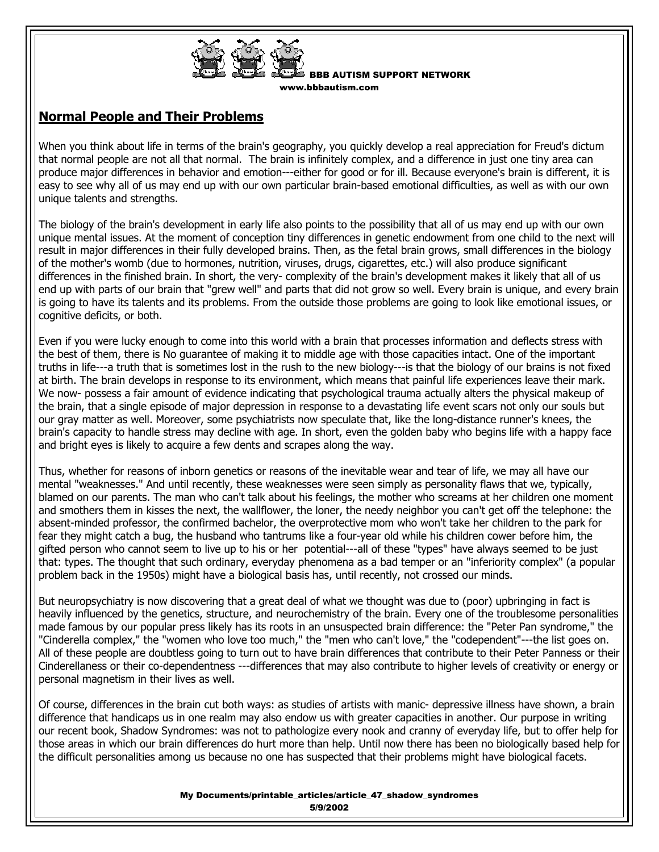

BBB AUTISM SUPPORT NETWORK w.bbbautism.com

## **Normal People and Their Problems**

When you think about life in terms of the brain's geography, you quickly develop a real appreciation for Freud's dictum that normal people are not all that normal. The brain is infinitely complex, and a difference in just one tiny area can produce major differences in behavior and emotion---either for good or for ill. Because everyone's brain is different, it is easy to see why all of us may end up with our own particular brain-based emotional difficulties, as well as with our own unique talents and strengths.

The biology of the brain's development in early life also points to the possibility that all of us may end up with our own unique mental issues. At the moment of conception tiny differences in genetic endowment from one child to the next will result in major differences in their fully developed brains. Then, as the fetal brain grows, small differences in the biology of the mother's womb (due to hormones, nutrition, viruses, drugs, cigarettes, etc.) will also produce significant differences in the finished brain. In short, the very- complexity of the brain's development makes it likely that all of us end up with parts of our brain that "grew well" and parts that did not grow so well. Every brain is unique, and every brain is going to have its talents and its problems. From the outside those problems are going to look like emotional issues, or cognitive deficits, or both.

Even if you were lucky enough to come into this world with a brain that processes information and deflects stress with the best of them, there is No guarantee of making it to middle age with those capacities intact. One of the important truths in life---a truth that is sometimes lost in the rush to the new biology---is that the biology of our brains is not fixed at birth. The brain develops in response to its environment, which means that painful life experiences leave their mark. We now- possess a fair amount of evidence indicating that psychological trauma actually alters the physical makeup of the brain, that a single episode of major depression in response to a devastating life event scars not only our souls but our gray matter as well. Moreover, some psychiatrists now speculate that, like the long-distance runner's knees, the brain's capacity to handle stress may decline with age. In short, even the golden baby who begins life with a happy face and bright eyes is likely to acquire a few dents and scrapes along the way.

Thus, whether for reasons of inborn genetics or reasons of the inevitable wear and tear of life, we may all have our mental "weaknesses." And until recently, these weaknesses were seen simply as personality flaws that we, typically, blamed on our parents. The man who can't talk about his feelings, the mother who screams at her children one moment and smothers them in kisses the next, the wallflower, the loner, the needy neighbor you can't get off the telephone: the absent-minded professor, the confirmed bachelor, the overprotective mom who won't take her children to the park for fear they might catch a bug, the husband who tantrums like a four-year old while his children cower before him, the gifted person who cannot seem to live up to his or her potential---all of these "types" have always seemed to be just that: types. The thought that such ordinary, everyday phenomena as a bad temper or an "inferiority complex" (a popular problem back in the 1950s) might have a biological basis has, until recently, not crossed our minds.

But neuropsychiatry is now discovering that a great deal of what we thought was due to (poor) upbringing in fact is heavily influenced by the genetics, structure, and neurochemistry of the brain. Every one of the troublesome personalities made famous by our popular press likely has its roots in an unsuspected brain difference: the "Peter Pan syndrome," the "Cinderella complex," the "women who love too much," the "men who can't love," the "codependent"---the list goes on. All of these people are doubtless going to turn out to have brain differences that contribute to their Peter Panness or their Cinderellaness or their co-dependentness ---differences that may also contribute to higher levels of creativity or energy or personal magnetism in their lives as well.

Of course, differences in the brain cut both ways: as studies of artists with manic- depressive illness have shown, a brain difference that handicaps us in one realm may also endow us with greater capacities in another. Our purpose in writing our recent book, Shadow Syndromes: was not to pathologize every nook and cranny of everyday life, but to offer help for those areas in which our brain differences do hurt more than help. Until now there has been no biologically based help for the difficult personalities among us because no one has suspected that their problems might have biological facets.

> My Documents/printable\_articles/article\_47\_shadow\_syndromes 5/9/2002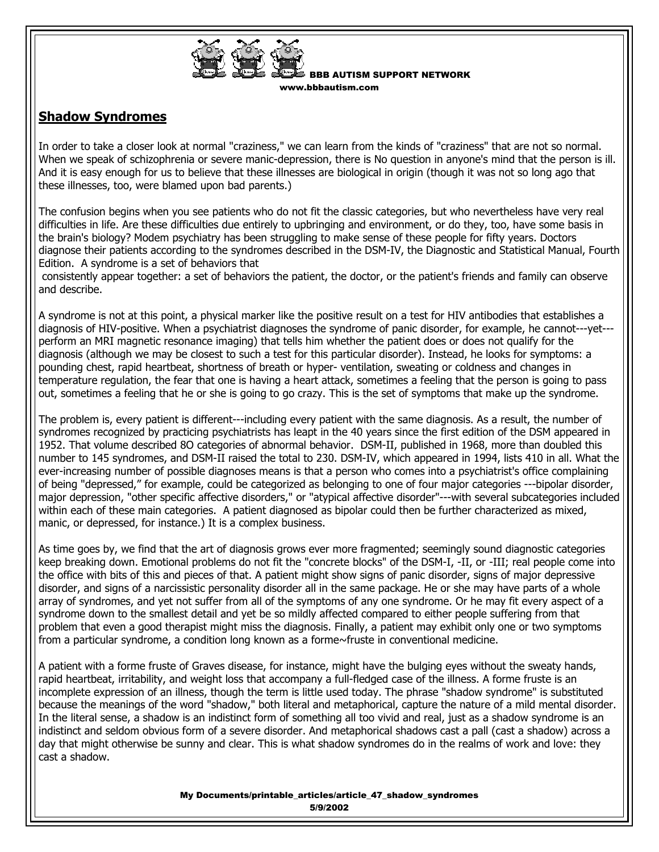

BBB AUTISM SUPPORT NETWORK w.bbbautism.com

## **Shadow Syndromes**

In order to take a closer look at normal "craziness," we can learn from the kinds of "craziness" that are not so normal. When we speak of schizophrenia or severe manic-depression, there is No question in anyone's mind that the person is ill. And it is easy enough for us to believe that these illnesses are biological in origin (though it was not so long ago that these illnesses, too, were blamed upon bad parents.)

The confusion begins when you see patients who do not fit the classic categories, but who nevertheless have very real difficulties in life. Are these difficulties due entirely to upbringing and environment, or do they, too, have some basis in the brain's biology? Modem psychiatry has been struggling to make sense of these people for fifty years. Doctors diagnose their patients according to the syndromes described in the DSM-IV, the Diagnostic and Statistical Manual, Fourth Edition. A syndrome is a set of behaviors that

 consistently appear together: a set of behaviors the patient, the doctor, or the patient's friends and family can observe and describe.

A syndrome is not at this point, a physical marker like the positive result on a test for HIV antibodies that establishes a diagnosis of HIV-positive. When a psychiatrist diagnoses the syndrome of panic disorder, for example, he cannot---yet-- perform an MRI magnetic resonance imaging) that tells him whether the patient does or does not qualify for the diagnosis (although we may be closest to such a test for this particular disorder). Instead, he looks for symptoms: a pounding chest, rapid heartbeat, shortness of breath or hyper- ventilation, sweating or coldness and changes in temperature regulation, the fear that one is having a heart attack, sometimes a feeling that the person is going to pass out, sometimes a feeling that he or she is going to go crazy. This is the set of symptoms that make up the syndrome.

The problem is, every patient is different---including every patient with the same diagnosis. As a result, the number of syndromes recognized by practicing psychiatrists has leapt in the 40 years since the first edition of the DSM appeared in 1952. That volume described 8O categories of abnormal behavior. DSM-II, published in 1968, more than doubled this number to 145 syndromes, and DSM-II raised the total to 230. DSM-IV, which appeared in 1994, lists 410 in all. What the ever-increasing number of possible diagnoses means is that a person who comes into a psychiatrist's office complaining of being "depressed," for example, could be categorized as belonging to one of four major categories ---bipolar disorder, major depression, "other specific affective disorders," or "atypical affective disorder"---with several subcategories included within each of these main categories. A patient diagnosed as bipolar could then be further characterized as mixed, manic, or depressed, for instance.) It is a complex business.

As time goes by, we find that the art of diagnosis grows ever more fragmented; seemingly sound diagnostic categories keep breaking down. Emotional problems do not fit the "concrete blocks" of the DSM-I, -II, or -III; real people come into the office with bits of this and pieces of that. A patient might show signs of panic disorder, signs of major depressive disorder, and signs of a narcissistic personality disorder all in the same package. He or she may have parts of a whole array of syndromes, and yet not suffer from all of the symptoms of any one syndrome. Or he may fit every aspect of a syndrome down to the smallest detail and yet be so mildly affected compared to either people suffering from that problem that even a good therapist might miss the diagnosis. Finally, a patient may exhibit only one or two symptoms from a particular syndrome, a condition long known as a forme~fruste in conventional medicine.

A patient with a forme fruste of Graves disease, for instance, might have the bulging eyes without the sweaty hands, rapid heartbeat, irritability, and weight loss that accompany a full-fledged case of the illness. A forme fruste is an incomplete expression of an illness, though the term is little used today. The phrase "shadow syndrome" is substituted because the meanings of the word "shadow," both literal and metaphorical, capture the nature of a mild mental disorder. In the literal sense, a shadow is an indistinct form of something all too vivid and real, just as a shadow syndrome is an indistinct and seldom obvious form of a severe disorder. And metaphorical shadows cast a pall (cast a shadow) across a day that might otherwise be sunny and clear. This is what shadow syndromes do in the realms of work and love: they cast a shadow.

> My Documents/printable\_articles/article\_47\_shadow\_syndromes 5/9/2002